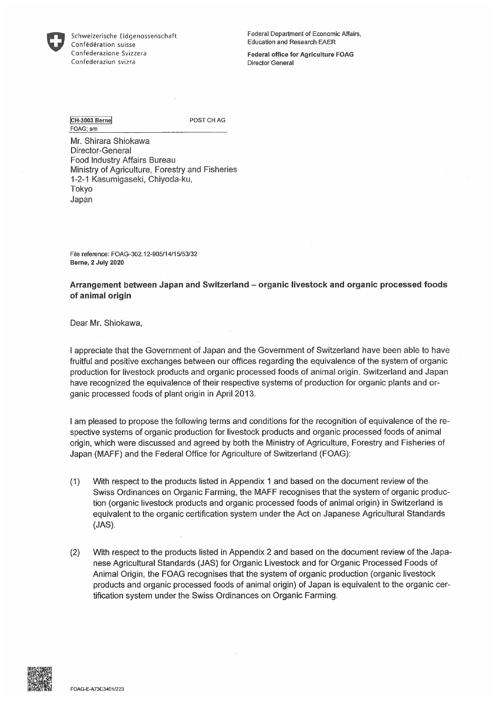

Schweizerische Eidgenossenschaft Confëdëration suisse Confederazione Svizzera Confederaztun svizra

Federal Department of Economic Affairs, Education and Research EAER

Federal office for Agriculture FOAG Director General

CH-3003 Berne FOAG; srn

POST CH AG

Mr. Shirara Shiokawa Director-General Food Industry Affairs Bureau Ministry of Agriculture, Forestry and Fisheries 1-2-1 Kasumigaseki, Chiyoda-ku, Tokyo Japan

File reference: FOAG-302.12-905/14/1 5/53/32 Berne, 2 July 2020

Arrangement between Japan and Switzerland – organic livestock and organic processed foods of animal origin

Dear Mr. Shiokawa,

1 appreciate that the Government of Japan and the Government of Switzerland have been able to have fruitful and positive exchanges between our offices regarding the equivalence of the system of organic production for livestock products and organic processed foods of animal origin. Switzerland and Japan have recognized the equivalence of their respective systems of production for organic plants and organic processed foods of plant origin in April 2013.

I am pleased to propose the following terms and conditions for the recognition of equivalence of the respective systems of organic production for livestock products and organic processed foods of animal origin, which were discussed and agreed by both the Ministry of Agriculture, Forestry and Fisheries of Japan (MAFF) and the Federal Office for Agriculture of Switzerland (FOAG)

- (1) With respect to the products listed in Appendix 1 and based on the document review of the Swiss Ordinances on Organic Farming, the MAFF recognises that the system of organic production (organic livestock products and organic processed foods of animal origin) in Switzerland is equivalent to the organic certification system under the Act on Japanese Agricultural Standards (JAS)
- (2) With respect to the products listed in Appendix 2 and based on the document review of the Japanese Agricultural Standards (JAS) for Organic Livestock and for Organic Processed Foods of Animal Origin, the FOAG recognises that the system of organic production (organic livestock products and organic processed foods of animal origin) of Japan is equivalent to the organic certification system under the Swiss Ordinances on Organic Farming

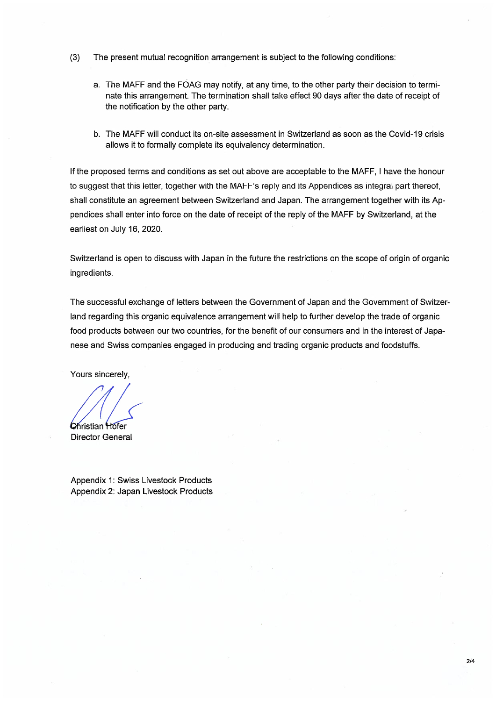- (3) The present mutual recognition arrangement is subject to the following conditions:
	- a. The MAFF and the FOAG may notify, at any time, to the other party their decision to terminate this arrangement. The termination shall take effect 90 days after the date of receipt of the notification by the other party
	- b. The MAFF will conduct its on-site assessment in Switzerland as soon as the Covid-19 crisis allows it to formally complete its equivalency determination.

If the proposed terms and conditions as set out above are acceptable to the MAFF, I have the honour to suggest that this letter, together with the MAFF's reply and its Appendices as integral part thereof, shall constitute an agreement between Switzerland and Japan. The arrangement together with its Appendices shall enter into force on the date of receipt of the reply of the MAFF by Switzerland, at the earliest on July 16, 2020.

Switzerland is open to discuss with Japan in the future the restrictions on the scope of origin of organic ingredients.

The successful exchange of letters between the Government of Japan and the Government of Switzerland regarding this organic equivalence arrangement will help to further develop the trade of organic food products between our two countries, for the benefit of our consumers and in the interest of Japanese and Swiss companies engaged in producing and trading organic products and foodstuffs.

Yours sincerely,

Christian Hofer Director General

Appendix 1: Swiss Livestock Products Appendix 2: Japan Livestock Products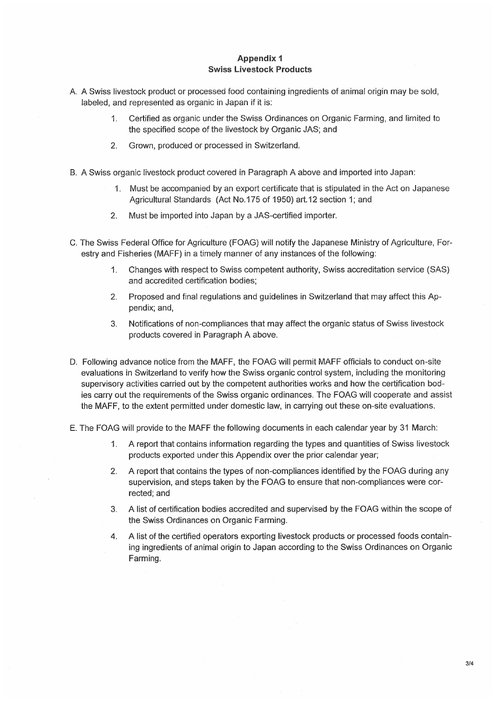## Appendix 1 Swiss Livestock Products

- A. A Swiss livestock product or processed food containing ingredients of animal origin may be sold, labeled, and represented as organic in Japan if it is:
	- 1. Certified as organic under the Swiss Ordinances on Organic Farming, and limited to the specified scope of the livestock by Organic JAS; and
	- 2. Grown, produced or processed in Switzerland
- B. A Swiss organic livestock product covered in Paragraph A above and imported into Japan:
	- 1. Must be accompanied by an export certificate that is stipulated in the Act on Japanese Agricultural Standards (Act No. 175 of 1950) art. 12 section 1; and
	- 2. Must be imported into Japan by a JAS-certified importer.
- C. The Swiss Federal Office for Agriculture (FOAG) will notify the Japanese Ministry of Agriculture, Forestry and Fisheries (MAFF) in a timely manner of any instances of the following:
	- 1. Changes with respect to Swiss competent authority, Swiss accreditation service (SAS) and accredited certification bodies;
	- 2. Proposed and final regulations and guidelines in Switzerland that may affect this Appendix; and,
	- 3. Notifications of non-compliances that may affect the organic status of Swiss livestock products covered in Paragraph A above.
- D. Following advance notice from the MAFF, the FOAG will permit MAFF officials to conduct on-site evaluations in Switzerland to verify how the Swiss organic control system, including the monitoring supervisory activities carried out by the competent authorities works and how the certification bodies carry out the requirements of the Swiss organic ordinances. The FOAG will cooperate and assist the MAFF, to the extent permitted under domestic law, in carrying out these on-site evaluations.
- E. The FOAG will provide to the MAFF the following documents in each calendar year by 31 March:
	- 1 A report that contains information regarding the types and quantities of Swiss livestock products exported under this Appendix over the prior calendar year;
	- 2 A report that contains the types of non-compliances identified by the FOAG during any supervision, and steps taken by the FOAG to ensure that non-compliances were corrected; and
	- 3. A list of certification bodies accredited and supervised by the FOAG within the scope of the Swiss Ordinances on Organic Farming
	- 4. A list of the certified operators exporting livestock products or processed foods containing ingredients of animal origin to Japan according to the Swiss Ordinances on Organic Farming.